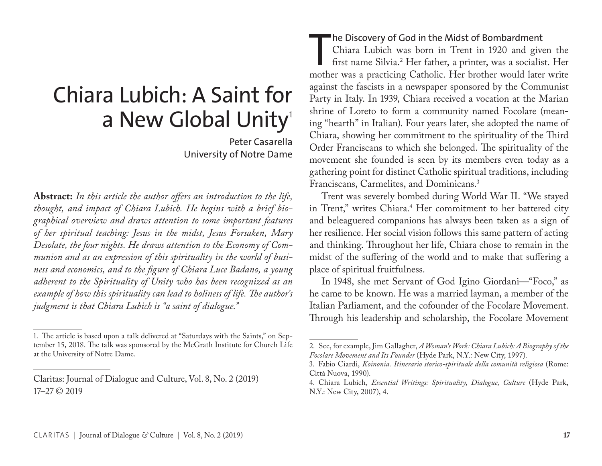# Chiara Lubich: A Saint for a New Global Unity<sup>1</sup>

Peter Casarella University of Notre Dame

**Abstract:** *In this article the author offers an introduction to the life, thought, and impact of Chiara Lubich. He begins with a brief biographical overview and draws attention to some important features of her spiritual teaching: Jesus in the midst, Jesus Forsaken, Mary Desolate, the four nights. He draws attention to the Economy of Communion and as an expression of this spirituality in the world of business and economics, and to the figure of Chiara Luce Badano, a young adherent to the Spirituality of Unity who has been recognized as an example of how this spirituality can lead to holiness of life. The author's judgment is that Chiara Lubich is "a saint of dialogue."*

#### he Discovery of God in the Midst of Bombardment

The Discovery of God in the Midst of Bombardment<br>Chiara Lubich was born in Trent in 1920 and given the<br>first name Silvia.<sup>2</sup> Her father, a printer, was a socialist. Her<br>mother was a practicing Catholic. Her brother would l Chiara Lubich was born in Trent in 1920 and given the first name Silvia.2 Her father, a printer, was a socialist. Her against the fascists in a newspaper sponsored by the Communist Party in Italy. In 1939, Chiara received a vocation at the Marian shrine of Loreto to form a community named Focolare (meaning "hearth" in Italian). Four years later, she adopted the name of Chiara, showing her commitment to the spirituality of the Third Order Franciscans to which she belonged. The spirituality of the movement she founded is seen by its members even today as a gathering point for distinct Catholic spiritual traditions, including Franciscans, Carmelites, and Dominicans.3

Trent was severely bombed during World War II. "We stayed in Trent," writes Chiara.4 Her commitment to her battered city and beleaguered companions has always been taken as a sign of her resilience. Her social vision follows this same pattern of acting and thinking. Throughout her life, Chiara chose to remain in the midst of the suffering of the world and to make that suffering a place of spiritual fruitfulness.

In 1948, she met Servant of God Igino Giordani—"Foco," as he came to be known. He was a married layman, a member of the Italian Parliament, and the cofounder of the Focolare Movement. Through his leadership and scholarship, the Focolare Movement

<sup>1.</sup> The article is based upon a talk delivered at "Saturdays with the Saints," on September 15, 2018. The talk was sponsored by the McGrath Institute for Church Life at the University of Notre Dame.

Claritas: Journal of Dialogue and Culture, Vol. 8, No. 2 (2019) 17–27 © 2019

<sup>2.</sup> See, for example, Jim Gallagher, *A Woman's Work: Chiara Lubich: A Biography of the Focolare Movement and Its Founder* (Hyde Park, N.Y.: New City, 1997).

<sup>3.</sup> Fabio Ciardi, *Koinonia. Itinerario storico-spirituale della comunità religiosa* (Rome: Città Nuova, 1990).

<sup>4.</sup> Chiara Lubich, *Essential Writings: Spirituality, Dialogue, Culture* (Hyde Park, N.Y.: New City, 2007), 4.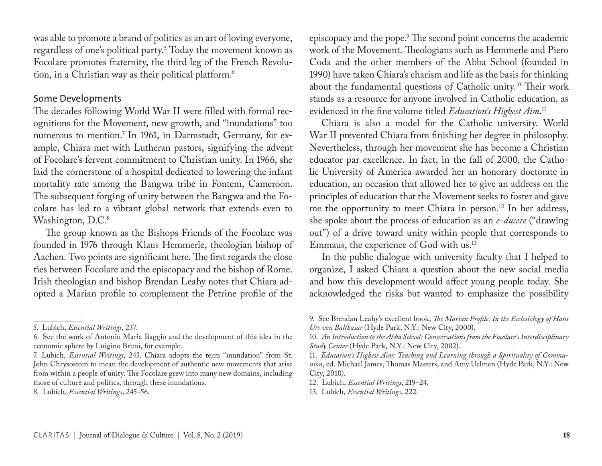was able to promote a brand of politics as an art of loving everyone, regardless of one's political party.5 Today the movement known as Focolare promotes fraternity, the third leg of the French Revolution, in a Christian way as their political platform.6

## Some Developments

The decades following World War II were filled with formal recognitions for the Movement, new growth, and "inundations" too numerous to mention.7 In 1961, in Darmstadt, Germany, for example, Chiara met with Lutheran pastors, signifying the advent of Focolare's fervent commitment to Christian unity. In 1966, she laid the cornerstone of a hospital dedicated to lowering the infant mortality rate among the Bangwa tribe in Fontem, Cameroon. The subsequent forging of unity between the Bangwa and the Focolare has led to a vibrant global network that extends even to Washington, D.C.<sup>8</sup>

The group known as the Bishops Friends of the Focolare was founded in 1976 through Klaus Hemmerle, theologian bishop of Aachen. Two points are significant here. The first regards the close ties between Focolare and the episcopacy and the bishop of Rome. Irish theologian and bishop Brendan Leahy notes that Chiara adopted a Marian profile to complement the Petrine profile of the

episcopacy and the pope.9 The second point concerns the academic work of the Movement. Theologians such as Hemmerle and Piero Coda and the other members of the Abba School (founded in 1990) have taken Chiara's charism and life as the basis for thinking about the fundamental questions of Catholic unity.10 Their work stands as a resource for anyone involved in Catholic education, as evidenced in the fine volume titled *Education's Highest Aim*. 11

Chiara is also a model for the Catholic university. World War II prevented Chiara from finishing her degree in philosophy. Nevertheless, through her movement she has become a Christian educator par excellence. In fact, in the fall of 2000, the Catholic University of America awarded her an honorary doctorate in education, an occasion that allowed her to give an address on the principles of education that the Movement seeks to foster and gave me the opportunity to meet Chiara in person.12 In her address, she spoke about the process of education as an *e-ducere* ("drawing out") of a drive toward unity within people that corresponds to Emmaus, the experience of God with us.13

In the public dialogue with university faculty that I helped to organize, I asked Chiara a question about the new social media and how this development would affect young people today. She acknowledged the risks but wanted to emphasize the possibility

<sup>5.</sup> Lubich, *Essential Writings*, 237.

<sup>6.</sup> See the work of Antonio Maria Baggio and the development of this idea in the economic sphere by Luigino Bruni, for example.

<sup>7.</sup> Lubich, *Essential Writings*, 243. Chiara adopts the term "inundation" from St. John Chrysostom to mean the development of authentic new movements that arise from within a people of unity. The Focolare grew into many new domains, including those of culture and politics, through these inundations.

<sup>8.</sup> Lubich, *Essential Writings*, 245–56.

<sup>9.</sup> See Brendan Leahy's excellent book, *The Marian Profile: In the Ecclesiology of Hans Urs von Balthasar* (Hyde Park, N.Y.: New City, 2000).

<sup>10.</sup> *An Introduction to the Abba School: Conversations from the Focolare's Interdisciplinary Study Center* (Hyde Park, N.Y.: New City, 2002).

<sup>11.</sup> *Education's Highest Aim: Teaching and Learning through a Spirituality of Communion*, ed. Michael James, Thomas Masters, and Amy Uelmen (Hyde Park, N.Y.: New City, 2010).

<sup>12.</sup> Lubich, *Essential Writings*, 219–24.

<sup>13.</sup> Lubich, *Essential Writings*, 222.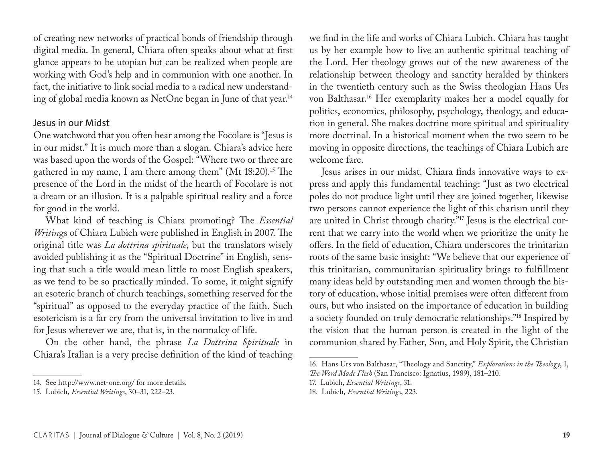of creating new networks of practical bonds of friendship through digital media. In general, Chiara often speaks about what at first glance appears to be utopian but can be realized when people are working with God's help and in communion with one another. In fact, the initiative to link social media to a radical new understanding of global media known as NetOne began in June of that year.14

# Jesus in our Midst

One watchword that you often hear among the Focolare is "Jesus is in our midst." It is much more than a slogan. Chiara's advice here was based upon the words of the Gospel: "Where two or three are gathered in my name, I am there among them" (Mt 18:20).15 The presence of the Lord in the midst of the hearth of Focolare is not a dream or an illusion. It is a palpable spiritual reality and a force for good in the world.

What kind of teaching is Chiara promoting? The *Essential Writin*gs of Chiara Lubich were published in English in 2007. The original title was *La dottrina spirituale*, but the translators wisely avoided publishing it as the "Spiritual Doctrine" in English, sensing that such a title would mean little to most English speakers, as we tend to be so practically minded. To some, it might signify an esoteric branch of church teachings, something reserved for the "spiritual" as opposed to the everyday practice of the faith. Such esotericism is a far cry from the universal invitation to live in and for Jesus wherever we are, that is, in the normalcy of life.

On the other hand, the phrase *La Dottrina Spirituale* in Chiara's Italian is a very precise definition of the kind of teaching we find in the life and works of Chiara Lubich. Chiara has taught us by her example how to live an authentic spiritual teaching of the Lord. Her theology grows out of the new awareness of the relationship between theology and sanctity heralded by thinkers in the twentieth century such as the Swiss theologian Hans Urs von Balthasar.16 Her exemplarity makes her a model equally for politics, economics, philosophy, psychology, theology, and education in general. She makes doctrine more spiritual and spirituality more doctrinal. In a historical moment when the two seem to be moving in opposite directions, the teachings of Chiara Lubich are welcome fare.

Jesus arises in our midst. Chiara finds innovative ways to express and apply this fundamental teaching: "Just as two electrical poles do not produce light until they are joined together, likewise two persons cannot experience the light of this charism until they are united in Christ through charity."17 Jesus is the electrical current that we carry into the world when we prioritize the unity he offers. In the field of education, Chiara underscores the trinitarian roots of the same basic insight: "We believe that our experience of this trinitarian, communitarian spirituality brings to fulfillment many ideas held by outstanding men and women through the history of education, whose initial premises were often different from ours, but who insisted on the importance of education in building a society founded on truly democratic relationships."18 Inspired by the vision that the human person is created in the light of the communion shared by Father, Son, and Holy Spirit, the Christian

<sup>14.</sup> See http://www.net-one.org/ for more details.

<sup>15.</sup> Lubich, *Essential Writings*, 30–31, 222–23.

<sup>16.</sup> Hans Urs von Balthasar, "Theology and Sanctity," *Explorations in the Theology*, I, *The Word Made Flesh* (San Francisco: Ignatius, 1989), 181–210.

<sup>17.</sup> Lubich, *Essential Writings*, 31.

<sup>18.</sup> Lubich, *Essential Writings*, 223.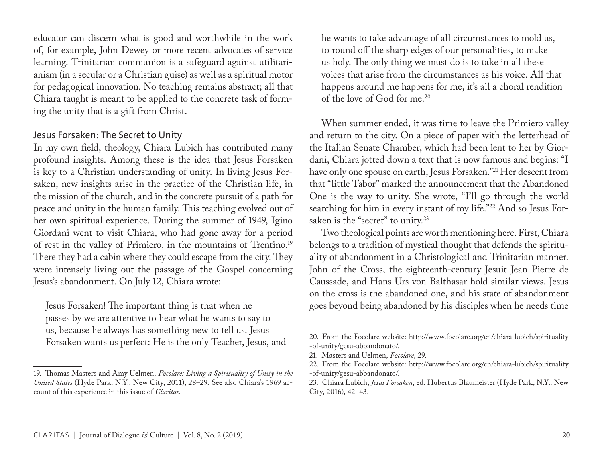educator can discern what is good and worthwhile in the work of, for example, John Dewey or more recent advocates of service learning. Trinitarian communion is a safeguard against utilitarianism (in a secular or a Christian guise) as well as a spiritual motor for pedagogical innovation. No teaching remains abstract; all that Chiara taught is meant to be applied to the concrete task of forming the unity that is a gift from Christ.

# Jesus Forsaken: The Secret to Unity

In my own field, theology, Chiara Lubich has contributed many profound insights. Among these is the idea that Jesus Forsaken is key to a Christian understanding of unity. In living Jesus Forsaken, new insights arise in the practice of the Christian life, in the mission of the church, and in the concrete pursuit of a path for peace and unity in the human family. This teaching evolved out of her own spiritual experience. During the summer of 1949, Igino Giordani went to visit Chiara, who had gone away for a period of rest in the valley of Primiero, in the mountains of Trentino.19 There they had a cabin where they could escape from the city. They were intensely living out the passage of the Gospel concerning Jesus's abandonment. On July 12, Chiara wrote:

Jesus Forsaken! The important thing is that when he passes by we are attentive to hear what he wants to say to us, because he always has something new to tell us. Jesus Forsaken wants us perfect: He is the only Teacher, Jesus, and he wants to take advantage of all circumstances to mold us, to round off the sharp edges of our personalities, to make us holy. The only thing we must do is to take in all these voices that arise from the circumstances as his voice. All that happens around me happens for me, it's all a choral rendition of the love of God for me.20

When summer ended, it was time to leave the Primiero valley and return to the city. On a piece of paper with the letterhead of the Italian Senate Chamber, which had been lent to her by Giordani, Chiara jotted down a text that is now famous and begins: "I have only one spouse on earth, Jesus Forsaken."21 Her descent from that "little Tabor" marked the announcement that the Abandoned One is the way to unity. She wrote, "I'll go through the world searching for him in every instant of my life."22 And so Jesus Forsaken is the "secret" to unity.<sup>23</sup>

Two theological points are worth mentioning here. First, Chiara belongs to a tradition of mystical thought that defends the spirituality of abandonment in a Christological and Trinitarian manner. John of the Cross, the eighteenth-century Jesuit Jean Pierre de Caussade, and Hans Urs von Balthasar hold similar views. Jesus on the cross is the abandoned one, and his state of abandonment goes beyond being abandoned by his disciples when he needs time

<sup>19.</sup> Thomas Masters and Amy Uelmen, *Focolare: Living a Spirituality of Unity in the United States* (Hyde Park, N.Y.: New City, 2011), 28–29. See also Chiara's 1969 account of this experience in this issue of *Claritas*.

<sup>20.</sup> From the Focolare website: http://www.focolare.org/en/chiara-lubich/spirituality -of-unity/gesu-abbandonato/.

<sup>21.</sup> Masters and Uelmen, *Focolare*, 29.

<sup>22.</sup> From the Focolare website: http://www.focolare.org/en/chiara-lubich/spirituality -of-unity/gesu-abbandonato/.

<sup>23.</sup> Chiara Lubich, *Jesus Forsaken*, ed. Hubertus Blaumeister (Hyde Park, N.Y.: New City, 2016), 42–43.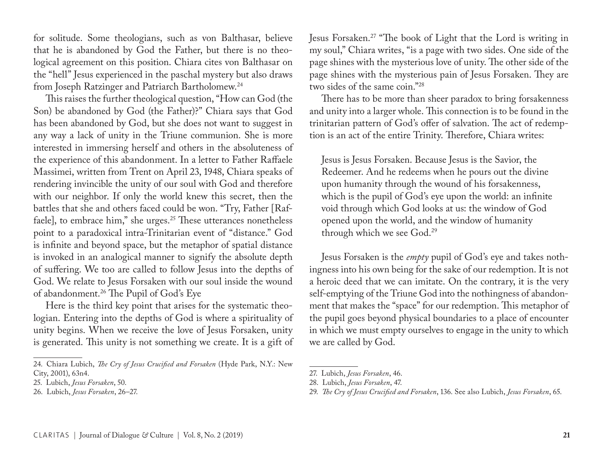for solitude. Some theologians, such as von Balthasar, believe that he is abandoned by God the Father, but there is no theological agreement on this position. Chiara cites von Balthasar on the "hell" Jesus experienced in the paschal mystery but also draws from Joseph Ratzinger and Patriarch Bartholomew.24

This raises the further theological question, "How can God (the Son) be abandoned by God (the Father)?" Chiara says that God has been abandoned by God, but she does not want to suggest in any way a lack of unity in the Triune communion. She is more interested in immersing herself and others in the absoluteness of the experience of this abandonment. In a letter to Father Raffaele Massimei, written from Trent on April 23, 1948, Chiara speaks of rendering invincible the unity of our soul with God and therefore with our neighbor. If only the world knew this secret, then the battles that she and others faced could be won. "Try, Father [Raffaele], to embrace him," she urges.<sup>25</sup> These utterances nonetheless point to a paradoxical intra-Trinitarian event of "distance." God is infinite and beyond space, but the metaphor of spatial distance is invoked in an analogical manner to signify the absolute depth of suffering. We too are called to follow Jesus into the depths of God. We relate to Jesus Forsaken with our soul inside the wound of abandonment.26 The Pupil of God's Eye

Here is the third key point that arises for the systematic theologian. Entering into the depths of God is where a spirituality of unity begins. When we receive the love of Jesus Forsaken, unity is generated. This unity is not something we create. It is a gift of

24. Chiara Lubich, *The Cry of Jesus Crucified and Forsaken* (Hyde Park, N.Y.: New City, 2001), 63n4.

Jesus Forsaken.27 "The book of Light that the Lord is writing in my soul," Chiara writes, "is a page with two sides. One side of the page shines with the mysterious love of unity. The other side of the page shines with the mysterious pain of Jesus Forsaken. They are two sides of the same coin."28

There has to be more than sheer paradox to bring forsakenness and unity into a larger whole. This connection is to be found in the trinitarian pattern of God's offer of salvation. The act of redemption is an act of the entire Trinity. Therefore, Chiara writes:

Jesus is Jesus Forsaken. Because Jesus is the Savior, the Redeemer. And he redeems when he pours out the divine upon humanity through the wound of his forsakenness, which is the pupil of God's eye upon the world: an infinite void through which God looks at us: the window of God opened upon the world, and the window of humanity through which we see God.29

Jesus Forsaken is the *empty* pupil of God's eye and takes nothingness into his own being for the sake of our redemption. It is not a heroic deed that we can imitate. On the contrary, it is the very self-emptying of the Triune God into the nothingness of abandonment that makes the "space" for our redemption. This metaphor of the pupil goes beyond physical boundaries to a place of encounter in which we must empty ourselves to engage in the unity to which we are called by God.

<sup>25.</sup> Lubich, *Jesus Forsaken*, 50.

<sup>26.</sup> Lubich, *Jesus Forsaken*, 26–27.

<sup>27.</sup> Lubich, *Jesus Forsaken*, 46.

<sup>28.</sup> Lubich, *Jesus Forsaken*, 47.

<sup>29.</sup> *The Cry of Jesus Crucified and Forsaken*, 136. See also Lubich, *Jesus Forsaken*, 65.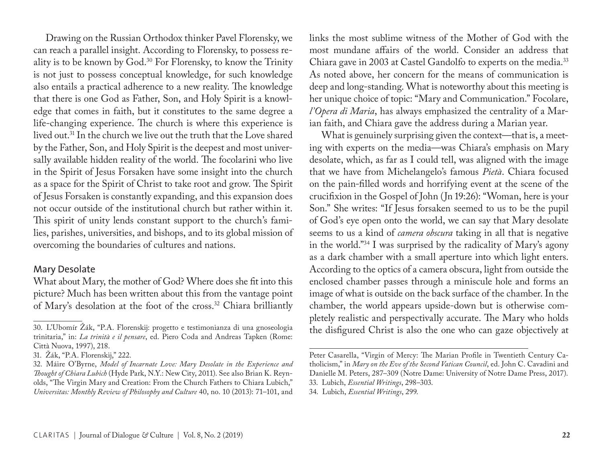Drawing on the Russian Orthodox thinker Pavel Florensky, we can reach a parallel insight. According to Florensky, to possess reality is to be known by God.30 For Florensky, to know the Trinity is not just to possess conceptual knowledge, for such knowledge also entails a practical adherence to a new reality. The knowledge that there is one God as Father, Son, and Holy Spirit is a knowledge that comes in faith, but it constitutes to the same degree a life-changing experience. The church is where this experience is lived out.31 In the church we live out the truth that the Love shared by the Father, Son, and Holy Spirit is the deepest and most universally available hidden reality of the world. The focolarini who live in the Spirit of Jesus Forsaken have some insight into the church as a space for the Spirit of Christ to take root and grow. The Spirit of Jesus Forsaken is constantly expanding, and this expansion does not occur outside of the institutional church but rather within it. This spirit of unity lends constant support to the church's families, parishes, universities, and bishops, and to its global mission of overcoming the boundaries of cultures and nations.

#### Mary Desolate

What about Mary, the mother of God? Where does she fit into this picture? Much has been written about this from the vantage point of Mary's desolation at the foot of the cross.32 Chiara brilliantly links the most sublime witness of the Mother of God with the most mundane affairs of the world. Consider an address that Chiara gave in 2003 at Castel Gandolfo to experts on the media.<sup>33</sup> As noted above, her concern for the means of communication is deep and long-standing. What is noteworthy about this meeting is her unique choice of topic: "Mary and Communication." Focolare, *l'Opera di Maria*, has always emphasized the centrality of a Marian faith, and Chiara gave the address during a Marian year.

What is genuinely surprising given the context—that is, a meeting with experts on the media—was Chiara's emphasis on Mary desolate, which, as far as I could tell, was aligned with the image that we have from Michelangelo's famous *Pietà*. Chiara focused on the pain-filled words and horrifying event at the scene of the crucifixion in the Gospel of John (Jn 19:26): "Woman, here is your Son." She writes: "If Jesus forsaken seemed to us to be the pupil of God's eye open onto the world, we can say that Mary desolate seems to us a kind of *camera obscura* taking in all that is negative in the world."34 I was surprised by the radicality of Mary's agony as a dark chamber with a small aperture into which light enters. According to the optics of a camera obscura, light from outside the enclosed chamber passes through a miniscule hole and forms an image of what is outside on the back surface of the chamber. In the chamber, the world appears upside-down but is otherwise completely realistic and perspectivally accurate. The Mary who holds the disfigured Christ is also the one who can gaze objectively at

<sup>30.</sup> L'Ubomír Žák, "P.A. Florenskij: progetto e testimonianza di una gnoseologia trinitaria," in: *La trinità e il pensare*, ed. Piero Coda and Andreas Tapken (Rome: Città Nuova, 1997), 218.

<sup>31.</sup> Žák, "P.A. Florenskij," 222.

<sup>32.</sup> Máire O'Byrne, *Model of Incarnate Love: Mary Desolate in the Experience and Thought of Chiara Lubich* (Hyde Park, N.Y.: New City, 2011). See also Brian K. Reynolds, "The Virgin Mary and Creation: From the Church Fathers to Chiara Lubich," *Universitas: Monthly Review of Philosophy and Culture* 40, no. 10 (2013): 71–101, and

Peter Casarella, "Virgin of Mercy: The Marian Profile in Twentieth Century Catholicism," in *Mary on the Eve of the Second Vatican Council*, ed. John C. Cavadini and Danielle M. Peters, 287–309 (Notre Dame: University of Notre Dame Press, 2017). 33. Lubich, *Essential Writings*, 298–303. 34. Lubich, *Essential Writings*, 299.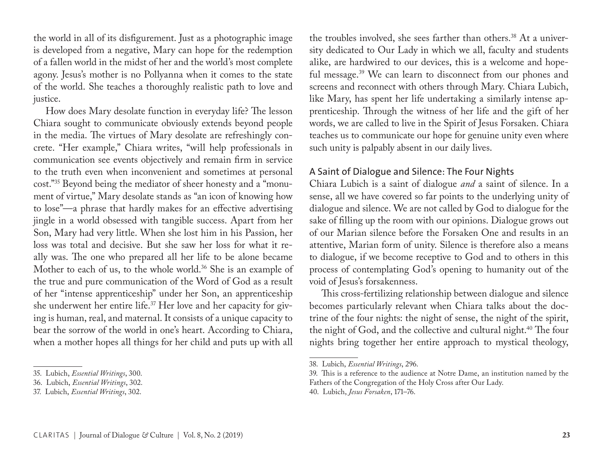the world in all of its disfigurement. Just as a photographic image is developed from a negative, Mary can hope for the redemption of a fallen world in the midst of her and the world's most complete agony. Jesus's mother is no Pollyanna when it comes to the state of the world. She teaches a thoroughly realistic path to love and justice.

How does Mary desolate function in everyday life? The lesson Chiara sought to communicate obviously extends beyond people in the media. The virtues of Mary desolate are refreshingly concrete. "Her example," Chiara writes, "will help professionals in communication see events objectively and remain firm in service to the truth even when inconvenient and sometimes at personal cost."35 Beyond being the mediator of sheer honesty and a "monument of virtue," Mary desolate stands as "an icon of knowing how to lose"—a phrase that hardly makes for an effective advertising jingle in a world obsessed with tangible success. Apart from her Son, Mary had very little. When she lost him in his Passion, her loss was total and decisive. But she saw her loss for what it really was. The one who prepared all her life to be alone became Mother to each of us, to the whole world.<sup>36</sup> She is an example of the true and pure communication of the Word of God as a result of her "intense apprenticeship" under her Son, an apprenticeship she underwent her entire life.37 Her love and her capacity for giving is human, real, and maternal. It consists of a unique capacity to bear the sorrow of the world in one's heart. According to Chiara, when a mother hopes all things for her child and puts up with all

the troubles involved, she sees farther than others.<sup>38</sup> At a university dedicated to Our Lady in which we all, faculty and students alike, are hardwired to our devices, this is a welcome and hopeful message.<sup>39</sup> We can learn to disconnect from our phones and screens and reconnect with others through Mary. Chiara Lubich, like Mary, has spent her life undertaking a similarly intense apprenticeship. Through the witness of her life and the gift of her words, we are called to live in the Spirit of Jesus Forsaken. Chiara teaches us to communicate our hope for genuine unity even where such unity is palpably absent in our daily lives.

# A Saint of Dialogue and Silence: The Four Nights

Chiara Lubich is a saint of dialogue *and* a saint of silence. In a sense, all we have covered so far points to the underlying unity of dialogue and silence. We are not called by God to dialogue for the sake of filling up the room with our opinions. Dialogue grows out of our Marian silence before the Forsaken One and results in an attentive, Marian form of unity. Silence is therefore also a means to dialogue, if we become receptive to God and to others in this process of contemplating God's opening to humanity out of the void of Jesus's forsakenness.

This cross-fertilizing relationship between dialogue and silence becomes particularly relevant when Chiara talks about the doctrine of the four nights: the night of sense, the night of the spirit, the night of God, and the collective and cultural night.<sup>40</sup> The four nights bring together her entire approach to mystical theology,

<sup>35.</sup> Lubich, *Essential Writings*, 300.

<sup>36.</sup> Lubich, *Essential Writings*, 302.

<sup>37.</sup> Lubich, *Essential Writings*, 302.

<sup>38.</sup> Lubich, *Essential Writings*, 296.

<sup>39.</sup> This is a reference to the audience at Notre Dame, an institution named by the Fathers of the Congregation of the Holy Cross after Our Lady.

<sup>40.</sup> Lubich, *Jesus Forsaken*, 171–76.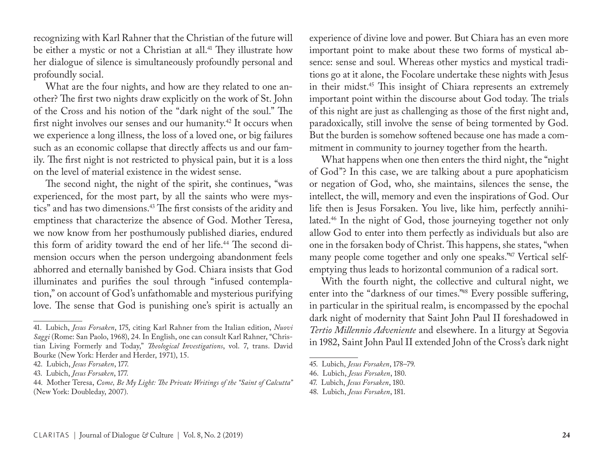recognizing with Karl Rahner that the Christian of the future will be either a mystic or not a Christian at all.<sup>41</sup> They illustrate how her dialogue of silence is simultaneously profoundly personal and profoundly social.

What are the four nights, and how are they related to one another? The first two nights draw explicitly on the work of St. John of the Cross and his notion of the "dark night of the soul." The first night involves our senses and our humanity.42 It occurs when we experience a long illness, the loss of a loved one, or big failures such as an economic collapse that directly affects us and our family. The first night is not restricted to physical pain, but it is a loss on the level of material existence in the widest sense.

The second night, the night of the spirit, she continues, "was experienced, for the most part, by all the saints who were mystics" and has two dimensions.43 The first consists of the aridity and emptiness that characterize the absence of God. Mother Teresa, we now know from her posthumously published diaries, endured this form of aridity toward the end of her life.<sup>44</sup> The second dimension occurs when the person undergoing abandonment feels abhorred and eternally banished by God. Chiara insists that God illuminates and purifies the soul through "infused contemplation," on account of God's unfathomable and mysterious purifying love. The sense that God is punishing one's spirit is actually an

experience of divine love and power. But Chiara has an even more important point to make about these two forms of mystical absence: sense and soul. Whereas other mystics and mystical traditions go at it alone, the Focolare undertake these nights with Jesus in their midst.45 This insight of Chiara represents an extremely important point within the discourse about God today. The trials of this night are just as challenging as those of the first night and, paradoxically, still involve the sense of being tormented by God. But the burden is somehow softened because one has made a commitment in community to journey together from the hearth.

What happens when one then enters the third night, the "night of God"? In this case, we are talking about a pure apophaticism or negation of God, who, she maintains, silences the sense, the intellect, the will, memory and even the inspirations of God. Our life then is Jesus Forsaken. You live, like him, perfectly annihilated.46 In the night of God, those journeying together not only allow God to enter into them perfectly as individuals but also are one in the forsaken body of Christ. This happens, she states, "when many people come together and only one speaks."47 Vertical selfemptying thus leads to horizontal communion of a radical sort.

With the fourth night, the collective and cultural night, we enter into the "darkness of our times."48 Every possible suffering, in particular in the spiritual realm, is encompassed by the epochal dark night of modernity that Saint John Paul II foreshadowed in *Tertio Millennio Adveniente* and elsewhere. In a liturgy at Segovia in 1982, Saint John Paul II extended John of the Cross's dark night

<sup>41.</sup> Lubich, *Jesus Forsaken*, 175, citing Karl Rahner from the Italian edition, *Nuovi Saggi* (Rome: San Paolo, 1968), 24. In English, one can consult Karl Rahner, "Christian Living Formerly and Today," *Theological Investigations*, vol. 7, trans. David Bourke (New York: Herder and Herder, 1971), 15.

<sup>42.</sup> Lubich, *Jesus Forsaken*, 177.

<sup>43.</sup> Lubich, *Jesus Forsaken*, 177.

<sup>44.</sup> Mother Teresa, *Come, Be My Light: The Private Writings of the "Saint of Calcutta"* (New York: Doubleday, 2007).

<sup>45.</sup> Lubich, *Jesus Forsaken*, 178–79.

<sup>46.</sup> Lubich, *Jesus Forsaken*, 180.

<sup>47.</sup> Lubich, *Jesus Forsaken*, 180.

<sup>48.</sup> Lubich, *Jesus Forsaken*, 181.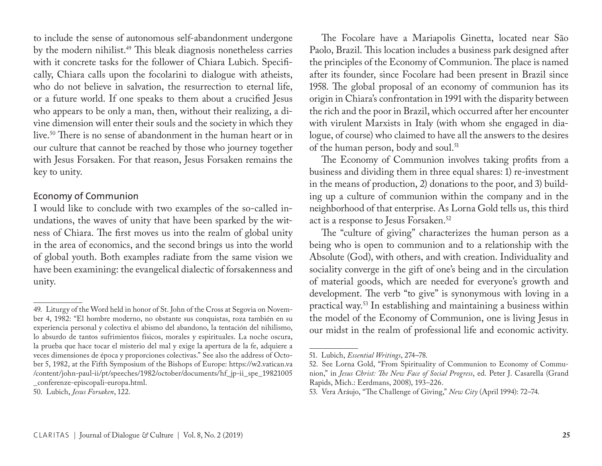to include the sense of autonomous self-abandonment undergone by the modern nihilist.49 This bleak diagnosis nonetheless carries with it concrete tasks for the follower of Chiara Lubich. Specifically, Chiara calls upon the focolarini to dialogue with atheists, who do not believe in salvation, the resurrection to eternal life, or a future world. If one speaks to them about a crucified Jesus who appears to be only a man, then, without their realizing, a divine dimension will enter their souls and the society in which they live.50 There is no sense of abandonment in the human heart or in our culture that cannot be reached by those who journey together with Jesus Forsaken. For that reason, Jesus Forsaken remains the key to unity.

# Economy of Communion

I would like to conclude with two examples of the so-called inundations, the waves of unity that have been sparked by the witness of Chiara. The first moves us into the realm of global unity in the area of economics, and the second brings us into the world of global youth. Both examples radiate from the same vision we have been examining: the evangelical dialectic of forsakenness and unity.

The Focolare have a Mariapolis Ginetta, located near São Paolo, Brazil. This location includes a business park designed after the principles of the Economy of Communion. The place is named after its founder, since Focolare had been present in Brazil since 1958. The global proposal of an economy of communion has its origin in Chiara's confrontation in 1991 with the disparity between the rich and the poor in Brazil, which occurred after her encounter with virulent Marxists in Italy (with whom she engaged in dialogue, of course) who claimed to have all the answers to the desires of the human person, body and soul.<sup>51</sup>

The Economy of Communion involves taking profits from a business and dividing them in three equal shares: 1) re-investment in the means of production, 2) donations to the poor, and 3) building up a culture of communion within the company and in the neighborhood of that enterprise. As Lorna Gold tells us, this third act is a response to Jesus Forsaken.52

The "culture of giving" characterizes the human person as a being who is open to communion and to a relationship with the Absolute (God), with others, and with creation. Individuality and sociality converge in the gift of one's being and in the circulation of material goods, which are needed for everyone's growth and development. The verb "to give" is synonymous with loving in a practical way.53 In establishing and maintaining a business within the model of the Economy of Communion, one is living Jesus in our midst in the realm of professional life and economic activity.

<sup>49.</sup> Liturgy of the Word held in honor of St. John of the Cross at Segovia on November 4, 1982: "El hombre moderno, no obstante sus conquistas, roza también en su experiencia personal y colectiva el abismo del abandono, la tentación del nihilismo, lo absurdo de tantos sufrimientos físicos, morales y espirituales. La noche oscura, la prueba que hace tocar el misterio del mal y exige la apertura de la fe, adquiere a veces dimensiones de época y proporciones colectivas." See also the address of October 5, 1982, at the Fifth Symposium of the Bishops of Europe: https://w2.vatican.va /content/john-paul-ii/pt/speeches/1982/october/documents/hf\_jp-ii\_spe\_19821005 \_conferenze-episcopali-europa.html.

<sup>50.</sup> Lubich, *Jesus Forsaken*, 122.

<sup>51.</sup> Lubich, *Essential Writings*, 274–78.

<sup>52.</sup> See Lorna Gold, "From Spirituality of Communion to Economy of Communion," in *Jesus Christ: The New Face of Social Progress*, ed. Peter J. Casarella (Grand Rapids, Mich.: Eerdmans, 2008), 193–226.

<sup>53.</sup> Vera Aráujo, "The Challenge of Giving," *New City* (April 1994): 72–74.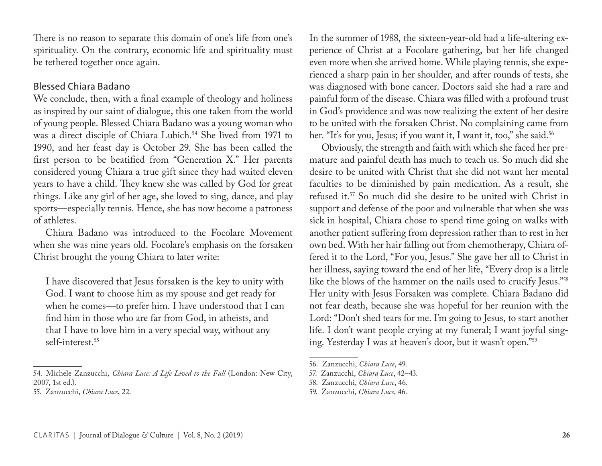There is no reason to separate this domain of one's life from one's spirituality. On the contrary, economic life and spirituality must be tethered together once again.

# Blessed Chiara Badano

We conclude, then, with a final example of theology and holiness as inspired by our saint of dialogue, this one taken from the world of young people. Blessed Chiara Badano was a young woman who was a direct disciple of Chiara Lubich.<sup>54</sup> She lived from 1971 to 1990, and her feast day is October 29. She has been called the first person to be beatified from "Generation X." Her parents considered young Chiara a true gift since they had waited eleven years to have a child. They knew she was called by God for great things. Like any girl of her age, she loved to sing, dance, and play sports—especially tennis. Hence, she has now become a patroness of athletes.

Chiara Badano was introduced to the Focolare Movement when she was nine years old. Focolare's emphasis on the forsaken Christ brought the young Chiara to later write:

I have discovered that Jesus forsaken is the key to unity with God. I want to choose him as my spouse and get ready for when he comes—to prefer him. I have understood that I can find him in those who are far from God, in atheists, and that I have to love him in a very special way, without any self-interest.55

In the summer of 1988, the sixteen-year-old had a life-altering experience of Christ at a Focolare gathering, but her life changed even more when she arrived home. While playing tennis, she experienced a sharp pain in her shoulder, and after rounds of tests, she was diagnosed with bone cancer. Doctors said she had a rare and painful form of the disease. Chiara was filled with a profound trust in God's providence and was now realizing the extent of her desire to be united with the forsaken Christ. No complaining came from her. "It's for you, Jesus; if you want it, I want it, too," she said.<sup>56</sup>

Obviously, the strength and faith with which she faced her premature and painful death has much to teach us. So much did she desire to be united with Christ that she did not want her mental faculties to be diminished by pain medication. As a result, she refused it.57 So much did she desire to be united with Christ in support and defense of the poor and vulnerable that when she was sick in hospital, Chiara chose to spend time going on walks with another patient suffering from depression rather than to rest in her own bed. With her hair falling out from chemotherapy, Chiara offered it to the Lord, "For you, Jesus." She gave her all to Christ in her illness, saying toward the end of her life, "Every drop is a little like the blows of the hammer on the nails used to crucify Jesus."58 Her unity with Jesus Forsaken was complete. Chiara Badano did not fear death, because she was hopeful for her reunion with the Lord: "Don't shed tears for me. I'm going to Jesus, to start another life. I don't want people crying at my funeral; I want joyful singing. Yesterday I was at heaven's door, but it wasn't open."59

<sup>54.</sup> Michele Zanzucchi, *Chiara Luce: A Life Lived to the Full* (London: New City, 2007, 1st ed.).

<sup>55.</sup> Zanzucchi, *Chiara Luce*, 22.

<sup>56.</sup> Zanzucchi, *Chiara Luce*, 49.

<sup>57.</sup> Zanzucchi, *Chiara Luce*, 42–43.

<sup>58.</sup> Zanzucchi, *Chiara Luce*, 46.

<sup>59.</sup> Zanzucchi, *Chiara Luce*, 46.